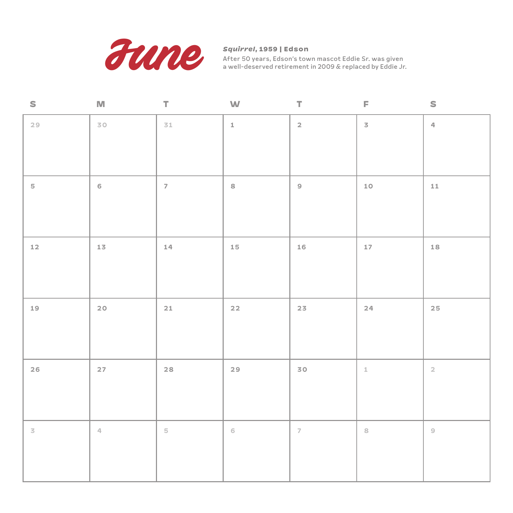

*Squirrel***, 1959 | Edson** 

| $\mathsf S$    | $\mathbb{M}$           | $\top$                  | W                           | Т.                       | F              | $\mathsf S$               |
|----------------|------------------------|-------------------------|-----------------------------|--------------------------|----------------|---------------------------|
| 29             | 30                     | 31                      | $\mathbbm{1}$               | $\mathsf{2}$             | $\overline{3}$ | $\ensuremath{\mathsf{d}}$ |
|                |                        |                         |                             |                          |                |                           |
| $\mathbf S$    | $\,$ 6 $\,$            | $\overline{7}$          | $\,$ 8 $\,$                 | $\mathcal Q$             | $10$           | $11\,$                    |
|                |                        |                         |                             |                          |                |                           |
| $12$           | 13 <sub>1</sub>        | $14\,$                  | $15\,$                      | 16                       | $17\,$         | $18\,$                    |
|                |                        |                         |                             |                          |                |                           |
| 19             | $20$                   | $21\,$                  | $22$                        | 23                       | 24             | $25\,$                    |
|                |                        |                         |                             |                          |                |                           |
| 26             | $27$                   | $28$                    | 29                          | 30                       | $\perp$        | $\mathbf{2}$              |
|                |                        |                         |                             |                          |                |                           |
| $\overline{3}$ | $\mathcal{L}_{\Gamma}$ | $\overline{\mathbb{S}}$ | $\mathsf{G}% _{\mathsf{G}}$ | $\overline{\mathcal{L}}$ | $\rm ^{\rm s}$ | $\mathcal{G}$             |
|                |                        |                         |                             |                          |                |                           |
|                |                        |                         |                             |                          |                |                           |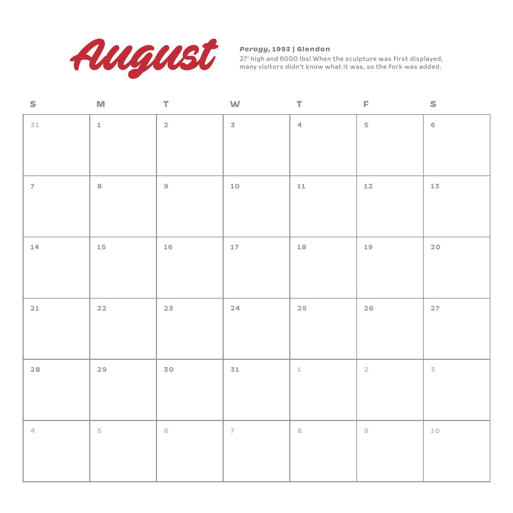

## *Perogy***, 1993 | Glendon**

| S                         | M             | $\top$         | W                        | T                         | F              | S                        |
|---------------------------|---------------|----------------|--------------------------|---------------------------|----------------|--------------------------|
| $31\,$                    | $\mathbbm{1}$ | $\overline{2}$ | $\overline{3}$           | $\ensuremath{\mathsf{q}}$ | $\mathbf 5$    | $\mathsf{6}$             |
|                           |               |                |                          |                           |                |                          |
|                           |               |                |                          |                           |                |                          |
| $\overline{\mathcal{L}}$  | $\,$ 8 $\,$   | $\mathsf{S}$   | $10$                     | ${\bf 11}$                | $12\,$         | $1\,$                    |
|                           |               |                |                          |                           |                |                          |
|                           |               |                |                          |                           |                |                          |
| 14                        | $15\,$        | $16\,$         | $17\,$                   | $18\,$                    | $19$           | $20$                     |
|                           |               |                |                          |                           |                |                          |
|                           |               |                |                          |                           |                |                          |
| 21                        | $22$          | $23$           | 24                       | $25\,$                    | $26$           | $27\,$                   |
|                           |               |                |                          |                           |                |                          |
|                           |               |                |                          |                           |                |                          |
| $28$                      | 29            | 30             | $\mathbf{31}$            | $\perp$                   | $\mathbf{2}$   | $\overline{\mathcal{S}}$ |
|                           |               |                |                          |                           |                |                          |
|                           |               |                |                          |                           |                |                          |
| $\mathbb{Z}_{\mathbb{P}}$ | $\mathbbm{5}$ | $\,$ $\,$ $\,$ | $\overline{\mathcal{L}}$ | $\rm ^8$                  | $\circledcirc$ | $10\,$                   |
|                           |               |                |                          |                           |                |                          |
|                           |               |                |                          |                           |                |                          |
|                           |               |                |                          |                           |                |                          |